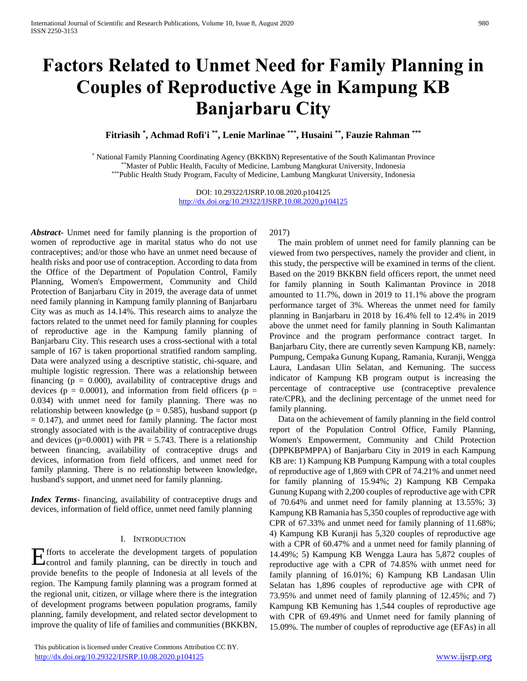# **Factors Related to Unmet Need for Family Planning in Couples of Reproductive Age in Kampung KB Banjarbaru City**

**Fitriasih \* , Achmad Rofi'i \*\* , Lenie Marlinae \*\*\* , Husaini \*\* , Fauzie Rahman \*\*\***

\* National Family Planning Coordinating Agency (BKKBN) Representative of the South Kalimantan Province \*\*Master of Public Health, Faculty of Medicine, Lambung Mangkurat University, Indonesia \*\*\*Public Health Study Program, Faculty of Medicine, Lambung Mangkurat University, Indonesia

> DOI: 10.29322/IJSRP.10.08.2020.p104125 <http://dx.doi.org/10.29322/IJSRP.10.08.2020.p104125>

*Abstract***-** Unmet need for family planning is the proportion of women of reproductive age in marital status who do not use contraceptives; and/or those who have an unmet need because of health risks and poor use of contraception. According to data from the Office of the Department of Population Control, Family Planning, Women's Empowerment, Community and Child Protection of Banjarbaru City in 2019, the average data of unmet need family planning in Kampung family planning of Banjarbaru City was as much as 14.14%. This research aims to analyze the factors related to the unmet need for family planning for couples of reproductive age in the Kampung family planning of Banjarbaru City. This research uses a cross-sectional with a total sample of 167 is taken proportional stratified random sampling. Data were analyzed using a descriptive statistic, chi-square, and multiple logistic regression. There was a relationship between financing ( $p = 0.000$ ), availability of contraceptive drugs and devices ( $p = 0.0001$ ), and information from field officers ( $p =$ 0.034) with unmet need for family planning. There was no relationship between knowledge ( $p = 0.585$ ), husband support (p  $= 0.147$ ), and unmet need for family planning. The factor most strongly associated with is the availability of contraceptive drugs and devices ( $p=0.0001$ ) with PR = 5.743. There is a relationship between financing, availability of contraceptive drugs and devices, information from field officers, and unmet need for family planning. There is no relationship between knowledge, husband's support, and unmet need for family planning.

*Index Terms*- financing, availability of contraceptive drugs and devices, information of field office, unmet need family planning

#### I. INTRODUCTION

fforts to accelerate the development targets of population Efforts to accelerate the development targets of population<br>Control and family planning, can be directly in touch and provide benefits to the people of Indonesia at all levels of the region. The Kampung family planning was a program formed at the regional unit, citizen, or village where there is the integration of development programs between population programs, family planning, family development, and related sector development to improve the quality of life of families and communities (BKKBN,

 This publication is licensed under Creative Commons Attribution CC BY. <http://dx.doi.org/10.29322/IJSRP.10.08.2020.p104125> [www.ijsrp.org](http://ijsrp.org/)

2017)

The main problem of unmet need for family planning can be viewed from two perspectives, namely the provider and client, in this study, the perspective will be examined in terms of the client. Based on the 2019 BKKBN field officers report, the unmet need for family planning in South Kalimantan Province in 2018 amounted to 11.7%, down in 2019 to 11.1% above the program performance target of 3%. Whereas the unmet need for family planning in Banjarbaru in 2018 by 16.4% fell to 12.4% in 2019 above the unmet need for family planning in South Kalimantan Province and the program performance contract target. In Banjarbaru City, there are currently seven Kampung KB, namely: Pumpung, Cempaka Gunung Kupang, Ramania, Kuranji, Wengga Laura, Landasan Ulin Selatan, and Kemuning. The success indicator of Kampung KB program output is increasing the percentage of contraceptive use (contraceptive prevalence rate/CPR), and the declining percentage of the unmet need for family planning.

Data on the achievement of family planning in the field control report of the Population Control Office, Family Planning, Women's Empowerment, Community and Child Protection (DPPKBPMPPA) of Banjarbaru City in 2019 in each Kampung KB are: 1) Kampung KB Pumpung Kampung with a total couples of reproductive age of 1,869 with CPR of 74.21% and unmet need for family planning of 15.94%; 2) Kampung KB Cempaka Gunung Kupang with 2,200 couples of reproductive age with CPR of 70.64% and unmet need for family planning at 13.55%; 3) Kampung KB Ramania has 5,350 couples of reproductive age with CPR of 67.33% and unmet need for family planning of 11.68%; 4) Kampung KB Kuranji has 5,320 couples of reproductive age with a CPR of 60.47% and a unmet need for family planning of 14.49%; 5) Kampung KB Wengga Laura has 5,872 couples of reproductive age with a CPR of 74.85% with unmet need for family planning of 16.01%; 6) Kampung KB Landasan Ulin Selatan has 1,896 couples of reproductive age with CPR of 73.95% and unmet need of family planning of 12.45%; and 7) Kampung KB Kemuning has 1,544 couples of reproductive age with CPR of 69.49% and Unmet need for family planning of 15.09%. The number of couples of reproductive age (EFAs) in all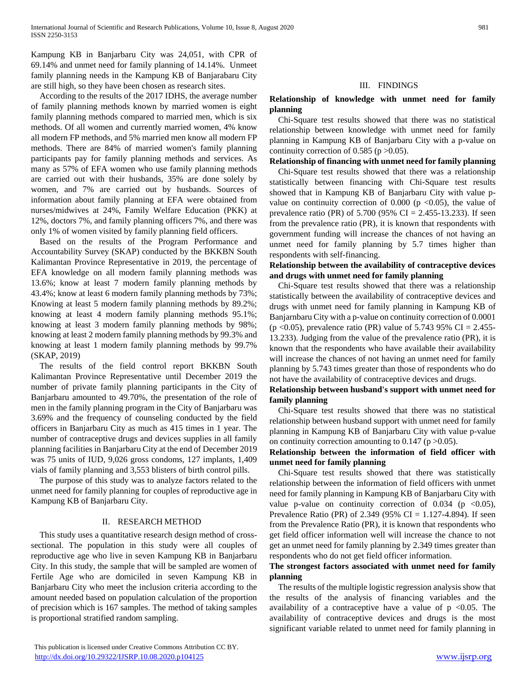Kampung KB in Banjarbaru City was 24,051, with CPR of 69.14% and unmet need for family planning of 14.14%. Unmeet family planning needs in the Kampung KB of Banjarabaru City are still high, so they have been chosen as research sites.

According to the results of the 2017 IDHS, the average number of family planning methods known by married women is eight family planning methods compared to married men, which is six methods. Of all women and currently married women, 4% know all modern FP methods, and 5% married men know all modern FP methods. There are 84% of married women's family planning participants pay for family planning methods and services. As many as 57% of EFA women who use family planning methods are carried out with their husbands, 35% are done solely by women, and 7% are carried out by husbands. Sources of information about family planning at EFA were obtained from nurses/midwives at 24%, Family Welfare Education (PKK) at 12%, doctors 7%, and family planning officers 7%, and there was only 1% of women visited by family planning field officers.

Based on the results of the Program Performance and Accountability Survey (SKAP) conducted by the BKKBN South Kalimantan Province Representative in 2019, the percentage of EFA knowledge on all modern family planning methods was 13.6%; know at least 7 modern family planning methods by 43.4%; know at least 6 modern family planning methods by 73%; Knowing at least 5 modern family planning methods by 89.2%; knowing at least 4 modern family planning methods 95.1%; knowing at least 3 modern family planning methods by 98%; knowing at least 2 modern family planning methods by 99.3% and knowing at least 1 modern family planning methods by 99.7% (SKAP, 2019)

The results of the field control report BKKBN South Kalimantan Province Representative until December 2019 the number of private family planning participants in the City of Banjarbaru amounted to 49.70%, the presentation of the role of men in the family planning program in the City of Banjarbaru was 3.69% and the frequency of counseling conducted by the field officers in Banjarbaru City as much as 415 times in 1 year. The number of contraceptive drugs and devices supplies in all family planning facilities in Banjarbaru City at the end of December 2019 was 75 units of IUD, 9,026 gross condoms, 127 implants, 1,409 vials of family planning and 3,553 blisters of birth control pills.

The purpose of this study was to analyze factors related to the unmet need for family planning for couples of reproductive age in Kampung KB of Banjarbaru City.

#### II. RESEARCH METHOD

This study uses a quantitative research design method of crosssectional. The population in this study were all couples of reproductive age who live in seven Kampung KB in Banjarbaru City. In this study, the sample that will be sampled are women of Fertile Age who are domiciled in seven Kampung KB in Banjarbaru City who meet the inclusion criteria according to the amount needed based on population calculation of the proportion of precision which is 167 samples. The method of taking samples is proportional stratified random sampling.

# III. FINDINGS

# **Relationship of knowledge with unmet need for family planning**

Chi-Square test results showed that there was no statistical relationship between knowledge with unmet need for family planning in Kampung KB of Banjarbaru City with a p-value on continuity correction of  $0.585$  (p  $>0.05$ ).

# **Relationship of financing with unmet need for family planning**

Chi-Square test results showed that there was a relationship statistically between financing with Chi-Square test results showed that in Kampung KB of Banjarbaru City with value pvalue on continuity correction of  $0.000$  (p <0.05), the value of prevalence ratio (PR) of 5.700 (95% CI = 2.455-13.233). If seen from the prevalence ratio (PR), it is known that respondents with government funding will increase the chances of not having an unmet need for family planning by 5.7 times higher than respondents with self-financing.

# **Relationship between the availability of contraceptive devices and drugs with unmet need for family planning**

Chi-Square test results showed that there was a relationship statistically between the availability of contraceptive devices and drugs with unmet need for family planning in Kampung KB of Banjarnbaru City with a p-value on continuity correction of 0.0001 (p <0.05), prevalence ratio (PR) value of 5.743 95% CI = 2.455- 13.233). Judging from the value of the prevalence ratio (PR), it is known that the respondents who have available their availability will increase the chances of not having an unmet need for family planning by 5.743 times greater than those of respondents who do not have the availability of contraceptive devices and drugs.

# **Relationship between husband's support with unmet need for family planning**

Chi-Square test results showed that there was no statistical relationship between husband support with unmet need for family planning in Kampung KB of Banjarbaru City with value p-value on continuity correction amounting to 0.147 ( $p > 0.05$ ).

# **Relationship between the information of field officer with unmet need for family planning**

Chi-Square test results showed that there was statistically relationship between the information of field officers with unmet need for family planning in Kampung KB of Banjarbaru City with value p-value on continuity correction of 0.034 ( $p \le 0.05$ ), Prevalence Ratio (PR) of 2.349 (95% CI = 1.127-4.894). If seen from the Prevalence Ratio (PR), it is known that respondents who get field officer information well will increase the chance to not get an unmet need for family planning by 2.349 times greater than respondents who do not get field officer information.

# **The strongest factors associated with unmet need for family planning**

The results of the multiple logistic regression analysis show that the results of the analysis of financing variables and the availability of a contraceptive have a value of  $p \leq 0.05$ . The availability of contraceptive devices and drugs is the most significant variable related to unmet need for family planning in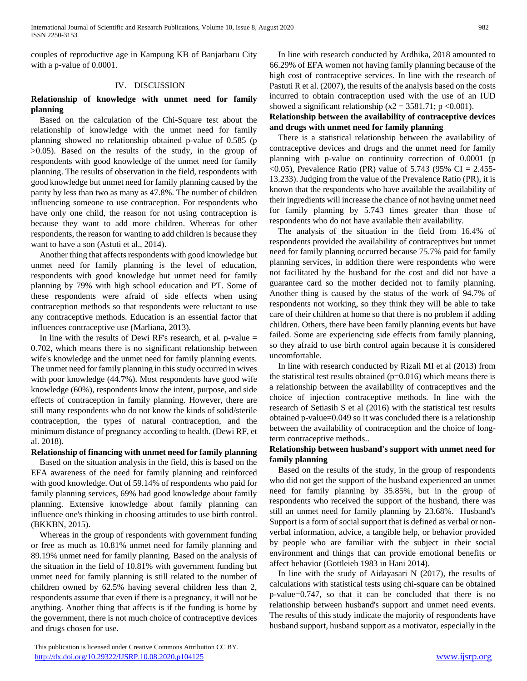couples of reproductive age in Kampung KB of Banjarbaru City with a p-value of 0.0001.

#### IV. DISCUSSION

# **Relationship of knowledge with unmet need for family planning**

Based on the calculation of the Chi-Square test about the relationship of knowledge with the unmet need for family planning showed no relationship obtained p-value of 0.585 (p >0.05). Based on the results of the study, in the group of respondents with good knowledge of the unmet need for family planning. The results of observation in the field, respondents with good knowledge but unmet need for family planning caused by the parity by less than two as many as 47.8%. The number of children influencing someone to use contraception. For respondents who have only one child, the reason for not using contraception is because they want to add more children. Whereas for other respondents, the reason for wanting to add children is because they want to have a son (Astuti et al., 2014).

Another thing that affects respondents with good knowledge but unmet need for family planning is the level of education, respondents with good knowledge but unmet need for family planning by 79% with high school education and PT. Some of these respondents were afraid of side effects when using contraception methods so that respondents were reluctant to use any contraceptive methods. Education is an essential factor that influences contraceptive use (Marliana, 2013).

In line with the results of Dewi RF's research, et al. p-value  $=$ 0.702, which means there is no significant relationship between wife's knowledge and the unmet need for family planning events. The unmet need for family planning in this study occurred in wives with poor knowledge (44.7%). Most respondents have good wife knowledge (60%), respondents know the intent, purpose, and side effects of contraception in family planning. However, there are still many respondents who do not know the kinds of solid/sterile contraception, the types of natural contraception, and the minimum distance of pregnancy according to health. (Dewi RF, et al. 2018).

# **Relationship of financing with unmet need for family planning**

Based on the situation analysis in the field, this is based on the EFA awareness of the need for family planning and reinforced with good knowledge. Out of 59.14% of respondents who paid for family planning services, 69% had good knowledge about family planning. Extensive knowledge about family planning can influence one's thinking in choosing attitudes to use birth control. (BKKBN, 2015).

Whereas in the group of respondents with government funding or free as much as 10.81% unmet need for family planning and 89.19% unmet need for family planning. Based on the analysis of the situation in the field of 10.81% with government funding but unmet need for family planning is still related to the number of children owned by 62.5% having several children less than 2, respondents assume that even if there is a pregnancy, it will not be anything. Another thing that affects is if the funding is borne by the government, there is not much choice of contraceptive devices and drugs chosen for use.

In line with research conducted by Ardhika, 2018 amounted to 66.29% of EFA women not having family planning because of the high cost of contraceptive services. In line with the research of Pastuti R et al. (2007), the results of the analysis based on the costs incurred to obtain contraception used with the use of an IUD showed a significant relationship ( $x2 = 3581.71$ ;  $p < 0.001$ ).

# **Relationship between the availability of contraceptive devices and drugs with unmet need for family planning**

There is a statistical relationship between the availability of contraceptive devices and drugs and the unmet need for family planning with p-value on continuity correction of 0.0001 (p <0.05), Prevalence Ratio (PR) value of 5.743 (95% CI = 2.455- 13.233). Judging from the value of the Prevalence Ratio (PR), it is known that the respondents who have available the availability of their ingredients will increase the chance of not having unmet need for family planning by 5.743 times greater than those of respondents who do not have available their availability.

The analysis of the situation in the field from 16.4% of respondents provided the availability of contraceptives but unmet need for family planning occurred because 75.7% paid for family planning services, in addition there were respondents who were not facilitated by the husband for the cost and did not have a guarantee card so the mother decided not to family planning. Another thing is caused by the status of the work of 94.7% of respondents not working, so they think they will be able to take care of their children at home so that there is no problem if adding children. Others, there have been family planning events but have failed. Some are experiencing side effects from family planning, so they afraid to use birth control again because it is considered uncomfortable.

In line with research conducted by Rizali MI et al (2013) from the statistical test results obtained ( $p=0.016$ ) which means there is a relationship between the availability of contraceptives and the choice of injection contraceptive methods. In line with the research of Setiasih S et al (2016) with the statistical test results obtained p-value=0.049 so it was concluded there is a relationship between the availability of contraception and the choice of longterm contraceptive methods..

## **Relationship between husband's support with unmet need for family planning**

Based on the results of the study, in the group of respondents who did not get the support of the husband experienced an unmet need for family planning by 35.85%, but in the group of respondents who received the support of the husband, there was still an unmet need for family planning by 23.68%. Husband's Support is a form of social support that is defined as verbal or nonverbal information, advice, a tangible help, or behavior provided by people who are familiar with the subject in their social environment and things that can provide emotional benefits or affect behavior (Gottleieb 1983 in Hani 2014).

In line with the study of Aidayasari N (2017), the results of calculations with statistical tests using chi-square can be obtained p-value=0.747, so that it can be concluded that there is no relationship between husband's support and unmet need events. The results of this study indicate the majority of respondents have husband support, husband support as a motivator, especially in the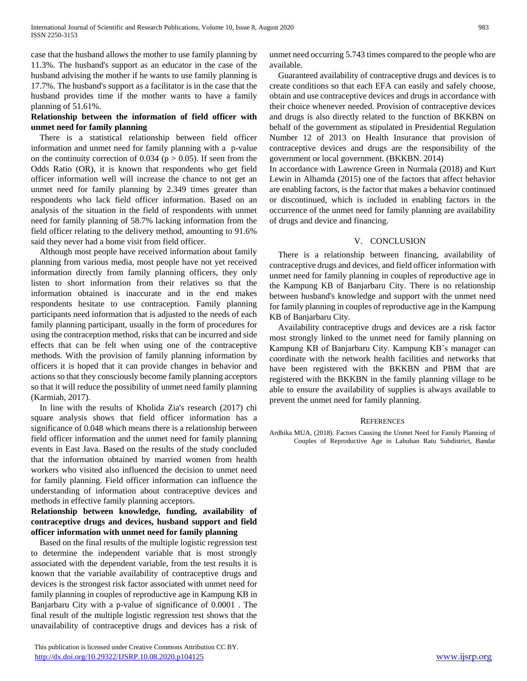case that the husband allows the mother to use family planning by 11.3%. The husband's support as an educator in the case of the husband advising the mother if he wants to use family planning is 17.7%. The husband's support as a facilitator is in the case that the husband provides time if the mother wants to have a family planning of 51.61%.

## **Relationship between the information of field officer with unmet need for family planning**

There is a statistical relationship between field officer information and unmet need for family planning with a p-value on the continuity correction of 0.034 ( $p > 0.05$ ). If seen from the Odds Ratio (OR), it is known that respondents who get field officer information well will increase the chance to not get an unmet need for family planning by 2.349 times greater than respondents who lack field officer information. Based on an analysis of the situation in the field of respondents with unmet need for family planning of 58.7% lacking information from the field officer relating to the delivery method, amounting to 91.6% said they never had a home visit from field officer.

Although most people have received information about family planning from various media, most people have not yet received information directly from family planning officers, they only listen to short information from their relatives so that the information obtained is inaccurate and in the end makes respondents hesitate to use contraception. Family planning participants need information that is adjusted to the needs of each family planning participant, usually in the form of procedures for using the contraception method, risks that can be incurred and side effects that can be felt when using one of the contraceptive methods. With the provision of family planning information by officers it is hoped that it can provide changes in behavior and actions so that they consciously become family planning acceptors so that it will reduce the possibility of unmet need family planning (Karmiah, 2017).

In line with the results of Kholida Zia's research (2017) chi square analysis shows that field officer information has a significance of 0.048 which means there is a relationship between field officer information and the unmet need for family planning events in East Java. Based on the results of the study concluded that the information obtained by married women from health workers who visited also influenced the decision to unmet need for family planning. Field officer information can influence the understanding of information about contraceptive devices and methods in effective family planning acceptors.

# **Relationship between knowledge, funding, availability of contraceptive drugs and devices, husband support and field officer information with unmet need for family planning**

Based on the final results of the multiple logistic regression test to determine the independent variable that is most strongly associated with the dependent variable, from the test results it is known that the variable availability of contraceptive drugs and devices is the strongest risk factor associated with unmet need for family planning in couples of reproductive age in Kampung KB in Banjarbaru City with a p-value of significance of 0.0001 . The final result of the multiple logistic regression test shows that the unavailability of contraceptive drugs and devices has a risk of

 This publication is licensed under Creative Commons Attribution CC BY. <http://dx.doi.org/10.29322/IJSRP.10.08.2020.p104125> [www.ijsrp.org](http://ijsrp.org/)

unmet need occurring 5.743 times compared to the people who are available.

Guaranteed availability of contraceptive drugs and devices is to create conditions so that each EFA can easily and safely choose, obtain and use contraceptive devices and drugs in accordance with their choice whenever needed. Provision of contraceptive devices and drugs is also directly related to the function of BKKBN on behalf of the government as stipulated in Presidential Regulation Number 12 of 2013 on Health Insurance that provision of contraceptive devices and drugs are the responsibility of the government or local government. (BKKBN. 2014)

In accordance with Lawrence Green in Nurmala (2018) and Kurt Lewin in Alhamda (2015) one of the factors that affect behavior are enabling factors, is the factor that makes a behavior continued or discontinued, which is included in enabling factors in the occurrence of the unmet need for family planning are availability of drugs and device and financing.

#### V. CONCLUSION

There is a relationship between financing, availability of contraceptive drugs and devices, and field officer information with unmet need for family planning in couples of reproductive age in the Kampung KB of Banjarbaru City. There is no relationship between husband's knowledge and support with the unmet need for family planning in couples of reproductive age in the Kampung KB of Banjarbaru City.

Availability contraceptive drugs and devices are a risk factor most strongly linked to the unmet need for family planning on Kampung KB of Banjarbaru City. Kampung KB's manager can coordinate with the network health facilities and networks that have been registered with the BKKBN and PBM that are registered with the BKKBN in the family planning village to be able to ensure the availability of supplies is always available to prevent the unmet need for family planning.

#### **REFERENCES**

Ardhika MUA, (2018). Factors Causing the Unmet Need for Family Planning of Couples of Reproductive Age in Labuhan Ratu Subdistrict, Bandar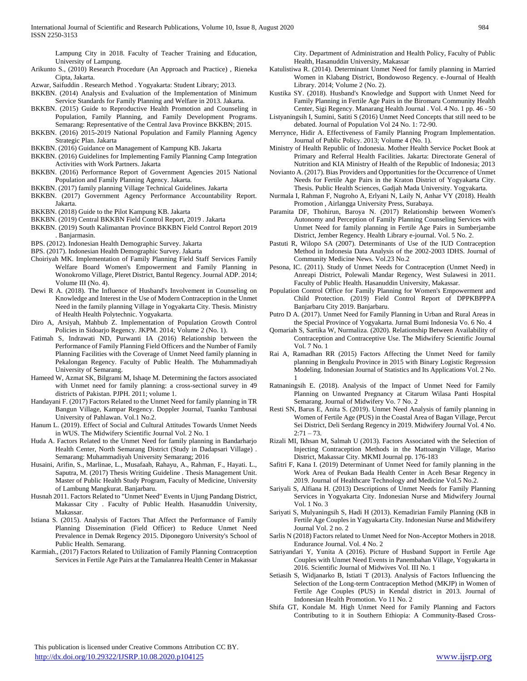Lampung City in 2018. Faculty of Teacher Training and Education, University of Lampung.

- Arikunto S., (2010) Research Procedure (An Approach and Practice) , Rieneka Cipta, Jakarta.
- Azwar, Saifuddin . Research Method . Yogyakarta: Student Library; 2013.
- BKKBN. (2014) Analysis and Evaluation of the Implementation of Minimum Service Standards for Family Planning and Welfare in 2013. Jakarta.
- BKKBN. (2015) Guide to Reproductive Health Promotion and Counseling in Population, Family Planning, and Family Development Programs. Semarang: Representative of the Central Java Province BKKBN; 2015.
- BKKBN. (2016) 2015-2019 National Population and Family Planning Agency Strategic Plan. Jakarta
- BKKBN. (2016) Guidance on Management of Kampung KB. Jakarta
- BKKBN. (2016) Guidelines for Implementing Family Planning Camp Integration Activities with Work Partners. Jakarta
- BKKBN. (2016) Performance Report of Government Agencies 2015 National Population and Family Planning Agency. Jakarta.
- BKKBN. (2017) family planning Village Technical Guidelines. Jakarta
- BKKBN. (2017) Government Agency Performance Accountability Report. Jakarta.
- BKKBN. (2018) Guide to the Pilot Kampung KB. Jakarta
- BKKBN. (2019) Central BKKBN Field Control Report, 2019 . Jakarta
- BKKBN. (2019) South Kalimantan Province BKKBN Field Control Report 2019 . Banjarmasin.
- BPS. (2012). Indonesian Health Demographic Survey. Jakarta
- BPS. (2017). Indonesian Health Demographic Survey. Jakarta
- Choiriyah MK. Implementation of Family Planning Field Staff Services Family Welfare Board Women's Empowerment and Family Planning in Wonokromo Village, Pleret District, Bantul Regency. Journal ADP. 2014; Volume III (No. 4).
- Dewi R A. (2018). The Influence of Husband's Involvement in Counseling on Knowledge and Interest in the Use of Modern Contraception in the Unmet Need in the family planning Village in Yogyakarta City. Thesis. Ministry of Health Health Polytechnic. Yogyakarta.
- Diro A, Arsiyah, Mahbub Z. Implementation of Population Growth Control Policies in Sidoarjo Regency. JKPM. 2014; Volume 2 (No. 1).
- Fatimah S, Indrawati ND, Purwanti IA (2016) Relationship between the Performance of Family Planning Field Officers and the Number of Family Planning Facilities with the Coverage of Unmet Need family planning in Pekalongan Regency. Faculty of Public Health. The Muhammadiyah University of Semarang.
- Hameed W, Azmat SK, Bilgrami M, Ishaqe M. Determining the factors associated with Unmet need for family planning: a cross-sectional survey in 49 districts of Pakistan. PJPH. 2011; volume 1.
- Handayani F. (2017) Factors Related to the Unmet Need for family planning in TR Bangun Village, Kampar Regency. Doppler Journal, Tuanku Tambusai University of Pahlawan. Vol.1 No.2.
- Hanum L. (2019). Effect of Social and Cultural Attitudes Towards Unmet Needs in WUS. The Midwifery Scientific Journal Vol. 2 No. 1
- Huda A. Factors Related to the Unmet Need for family planning in Bandarharjo Health Center, North Semarang District (Study in Dadapsari Village) . Semarang: Muhammadiyah University Semarang; 2016
- Husaini, Arifin, S., Marlinae, L., Musafaah, Rahayu, A., Rahman, F., Hayati. L., Saputra, M. (2017) Thesis Writing Guideline . Thesis Management Unit. Master of Public Health Study Program, Faculty of Medicine, University of Lambung Mangkurat. Banjarbaru.
- Husnah 2011. Factors Related to "Unmet Need" Events in Ujung Pandang District, Makassar City . Faculty of Public Health. Hasanuddin University, Makassar.
- Istiana S. (2015). Analysis of Factors That Affect the Performance of Family Planning Dissemination (Field Officer) to Reduce Unmet Need Prevalence in Demak Regency 2015. Diponegoro University's School of Public Health. Semarang.
- Karmiah., (2017) Factors Related to Utilization of Family Planning Contraception Services in Fertile Age Pairs at the Tamalanrea Health Center in Makassar

City. Department of Administration and Health Policy, Faculty of Public Health, Hasanuddin University, Makassar

- Katulistiwa R. (2014). Determinant Unmet Need for family planning in Married Women in Klabang District, Bondowoso Regency. e-Journal of Health Library. 2014; Volume 2 (No. 2).
- Kustika SY. (2018). Husband's Knowledge and Support with Unmet Need for Family Planning in Fertile Age Pairs in the Biromaru Community Health Center, Sigi Regency. Manarang Health Journal . Vol. 4 No. 1 pp. 46 - 50
- Listyaningsih I, Sumini, Satiti S (2016) Unmet Need Concepts that still need to be debated. Journal of Population Vol 24 No. 1: 72-90.
- Merrynce, Hidir A. Effectiveness of Family Planning Program Implementation. Journal of Public Policy. 2013; Volume 4 (No. 1).
- Ministry of Health Republic of Indonesia. Mother Health Service Pocket Book at Primary and Referral Health Facilities. Jakarta: Directorate General of Nutrition and KIA Ministry of Health of the Republic of Indonesia; 2013
- Novianto A. (2017). Bias Providers and Opportunities for the Occurrence of Unmet Needs for Fertile Age Pairs in the Kraton District of Yogyakarta City. Thesis. Public Health Sciences, Gadjah Mada University. Yogyakarta.
- Nurmala I, Rahman F, Nugroho A, Erlyani N, Laily N, Anhar VY (2018). Health Promotion , Airlangga University Press, Surabaya.
- Paramita DF, Thohirun, Baroya N. (2017) Relationship between Women's Autonomy and Perception of Family Planning Counseling Services with Unmet Need for family planning in Fertile Age Pairs in Sumberjambe District, Jember Regency. Health Library e-journal. Vol. 5 No. 2.
- Pastuti R, Wilopo SA (2007). Determinants of Use of the IUD Contraception Method in Indonesia Data Analysis of the 2002-2003 IDHS. Journal of Community Medicine News. Vol.23 No.2
- Pesona, IC. (2011). Study of Unmet Needs for Contraception (Unmet Need) in Anreapi District, Polewali Mandar Regency, West Sulawesi in 2011. Faculty of Public Health. Hasanuddin University, Makassar.
- Population Control Office for Family Planning for Women's Empowerment and Child Protection. (2019) Field Control Report of DPPKBPPPA Banjarbaru City 2019. Banjarbaru.
- Putro D A. (2017). Unmet Need for Family Planning in Urban and Rural Areas in the Special Province of Yogyakarta. Jurnal Bumi Indonesia Vo. 6 No. 4
- Qomariah S, Sartika W, Nurmaliza. (2020). Relationship Between Availability of Contraception and Contraceptive Use. The Midwifery Scientific Journal Vol. 7 No. 1
- Rai A, Ramadhan RR (2015) Factors Affecting the Unmet Need for family planning in Bengkulu Province in 2015 with Binary Logistic Regression Modeling. Indonesian Journal of Statistics and Its Applications Vol. 2 No. 1
- Ratnaningsih E. (2018). Analysis of the Impact of Unmet Need for Family Planning on Unwanted Pregnancy at Citarum Wilasa Panti Hospital Semarang. Journal of Midwifery Vo. 7 No. 2
- Resti SN, Barus E, Anita S. (2019). Unmet Need Analysis of family planning in Women of Fertile Age (PUS) in the Coastal Area of Bagan Village, Percut Sei District, Deli Serdang Regency in 2019. Midwifery Journal Vol. 4 No.  $2:71 - 73.$
- Rizali MI, Ikhsan M, Salmah U (2013). Factors Associated with the Selection of Injecting Contraception Methods in the Mattoangin Village, Mariso District, Makassar City. MKMI Journal pp. 176-183
- Safitri F, Kana I. (2019) Determinant of Unmet Need for family planning in the Work Area of Peukan Bada Health Center in Aceh Besar Regency in 2019. Journal of Healthcare Technology and Medicine Vol.5 No.2.
- Sariyali S, Alfiana H. (2013) Descriptions of Unmet Needs for Family Planning Services in Yogyakarta City. Indonesian Nurse and Midwifery Journal Vol. 1 No. 3
- Sariyati S, Mulyaningsih S, Hadi H (2013). Kemadirian Family Planning (KB in Fertile Age Couples in Yagyakarta City. Indonesian Nurse and Midwifery Journal Vol. 2 no. 2
- Sarlis N (2018) Factors related to Unmet Need for Non-Acceptor Mothers in 2018. Endurance Journal. Vol. 4 No. 2
- Satriyandari Y, Yunita A (2016). Picture of Husband Support in Fertile Age Couples with Unmet Need Events in Panembahan Village, Yogyakarta in 2016. Scientific Journal of Midwives Vol. III No. 1
- Setiasih S, Widjanarko B, Istiati T (2013). Analysis of Factors Influencing the Selection of the Long-term Contraception Method (MKJP) in Women of Fertile Age Couples (PUS) in Kendal district in 2013. Journal of Indonesian Health Promotion. Vo 11 No. 2
- Shifa GT, Kondale M. High Unmet Need for Family Planning and Factors Contributing to it in Southern Ethiopia: A Community-Based Cross-